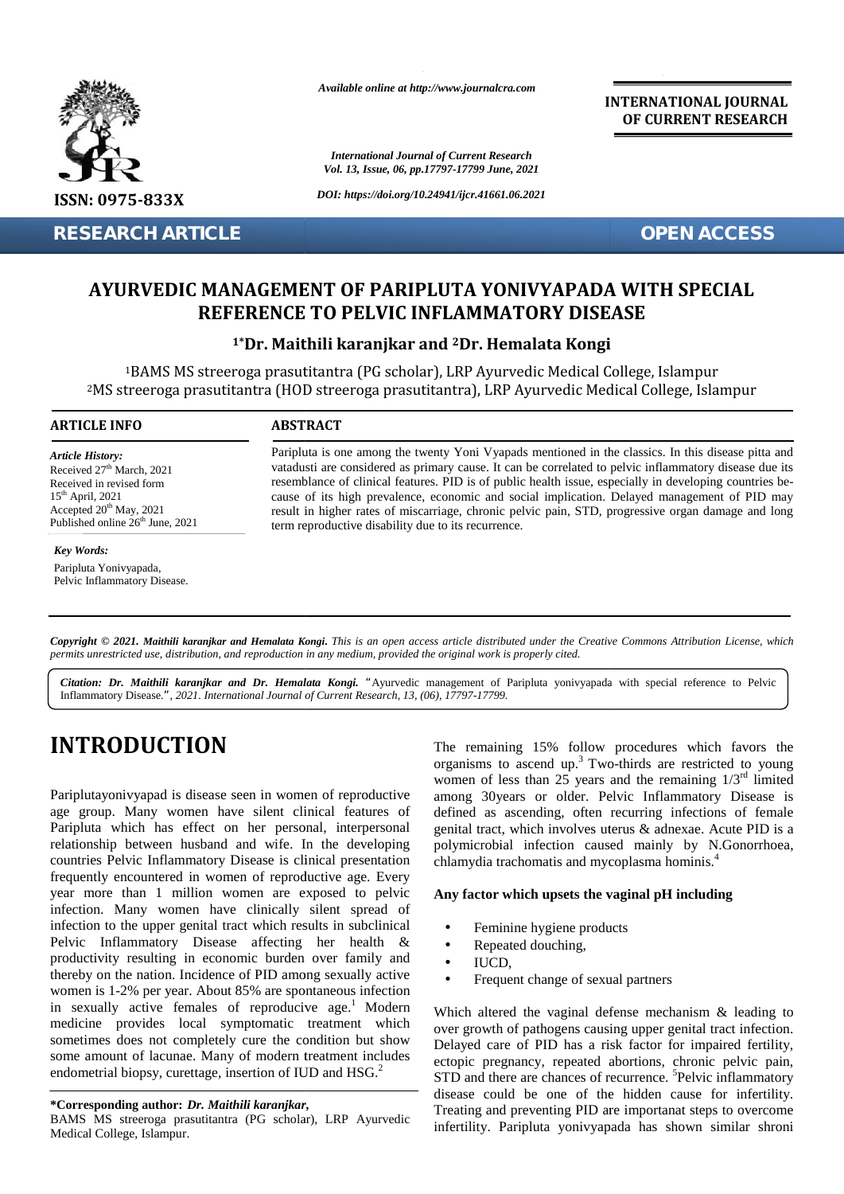

**RESEARCH ARTICLE OPEN ACCESS**

*Available online at http://www.journalcra.com*

*International Journal of Current Research Vol. 13, Issue, 06, pp.17797-17799 June, 2021*

*DOI: https://doi.org/10.24941/ijcr.41661.06.2021*

**INTERNATIONAL JOURNAL OF CURRENT RESEARCH**

# AYURVEDIC MANAGEMENT OF PARIPLUTA YONIVYAPADA WITH SPECIAL<br>REFERENCE TO PELVIC INFLAMMATORY DISEASE **REFERENCE TO PELVIC INFLAMMATORY DISEASE**

### **1\*Dr. Maithili karanjkar and <sup>2</sup>Dr. Hemalata Kongi Maithili karanjkar and**

<sup>1</sup>BAMS MS streeroga prasutitantra (PG scholar), LRP Ayurvedic Medical College, Islampur <sup>2</sup>MS streeroga prasutitantra (HOD streeroga prasutitantra), LRP Ayurvedic Medical College, Islampur MS streeroga streeroga prasutitantra prasutitantra), LRP

#### **ARTICLE INFO ABSTRACT ARTICLE ABSTRACT**

*Article History:* Received 27<sup>th</sup> March, 2021 Received 27 March, 2021<br>Received in revised form  $15<sup>th</sup>$  April, 2021 Accepted  $20^{th}$  May, 2021 Published online  $26<sup>th</sup>$  June, 2021 **RESEARCH ART<br>
AYURVEDIC**<br>
<sup>1</sup>BAMS MS<br>
<sup>2</sup>MS streeroga pr<br> **ARTICLE INFO**<br> **ARTICLE INFO**<br> **ARTICLE INFO**<br> **Article History:**<br>
Received in revised form<br>  $S^{\text{th}}$  April, 2021<br>
Accepted 20<sup>th</sup> May, 2021<br>
Accepted 20<sup>th</sup> May

#### *Key Words:*

Paripluta Yonivyapada, Pelvic Inflammatory Disease. Paripluta is one among the twenty Yoni Vyapads mentioned in the classics. In this disease pitta and vatadusti are considered as primary cause. It can be correlated to pelvic inflammatory disease due its resemblance of clinical features. PID is of public health issue, especially in developing countries be cause of its high prevalence, economic and social implication. Delayed management of PID may result in higher rates of miscarriage, chronic pelvic pain, STD, progressive organ damage and long term reproductive disability due to its recurrence. Paripluta is one among the twenty Yoni Vyapads mentioned in the classics. In this disease vatadusti are considered as primary cause. It can be correlated to pelvic inflammatory disea resemblance of clinical features. PID i

Copyright © 2021. Maithili karanjkar and Hemalata Kongi. This is an open access article distributed under the Creative Commons Attribution License, which permits unrestricted use, distribution, and reproduction in any medium, provided the original work is properly cited. Final Mathili karanjkar and Hemalata Kongi. This is an open access article distributed und<br>*ited use, distribution, and reproduction in any medium, provided the original work is proper<br>Maithili karanjkar and Dr. Hemalata* 

*Citation: Dr. Maithili karanjkar and Dr. Hemalata Kongi. "*Ayurvedic management of Paripluta yonivyapada with special reference to Pelvic Inflammatory Disease.*", 2021. International Journal of Current Research, 13, (06), 17797-17799.*

# **INTRODUCTION INTRODUCTION**

Pariplutayonivyapad is disease seen in women of reproductive age group. Many women have silent clinical features of Paripluta yonivyapad is disease seen in women of reproductive<br>age group. Many women have silent clinical features of<br>Paripluta which has effect on her personal, interpersonal relationship between husband and wife. In the developing countries Pelvic Inflammatory Disease is clinical presentation frequently encountered in women of reproductive age. Every year more than 1 million women are exposed to pelvic infection. Many women have clinically silent spread of infection to the upper genital tract which results in subclinical Pelvic Inflammatory Disease affecting her health & productivity resulting in economic burden over family and thereby on the nation. Incidence of PID among sexually active women is 1-2% per year. About 85% are spontaneous infection in sexually active females of reproducive age.<sup>1</sup> Modern medicine provides local symptomatic treatment which sometimes does not completely cure the condition but show some amount of lacunae. Many of modern treatment includes endometrial biopsy, curettage, insertion of IUD and HSG.<sup>2</sup> relationship between husband and wife. In the developing<br>countries Pelvic Inflammatory Disease is clinical presentation<br>frequently encountered in women of reproductive age. Every<br>year more than 1 million women are exposed **INTRODUCITION**<br>
The remaining 15% follow procedures which favors the complete properties when  $25$  years and the remaining  $1/3$  times<br>
Pariphtatyonivyapad is discusse seen in women of reproductive umong 30years or older **SECOND THE CONSULTERATION CONFIDENTIFY (CONSULTERATION) DOES ARE CONSULTERATION CONSULTERATION**<br> **IARTICLE** CONNECTION *DEPARTION CONSULTERATION INTERFERENCE*<br> **IARTICLE** CONSULTERATION CONSULTERATION INTERFERENCE TO P

**\*Corresponding author:** *Dr. Maithili karanjkar,* **\*Corresponding** 

BAMS MS streeroga prasutitantra (PG scholar), LRP Ayurvedic  $\frac{1}{2}$ Medical College, Islampur.

The remaining 15% follow procedures which favors the organisms to ascend up.<sup>3</sup> Two-thirds are restricted to young women of less than 25 years and the remaining  $1/3<sup>rd</sup>$  limited among 30years or older. Pelvic Inflammatory Disease is defined as ascending, often recurring infections of female genital tract, which involves uterus & adnexae. Acute PID is a polymicrobial infection caused mainly by N.Gonorrhoea, chlamydia trachomatis and mycoplasma hominis.<sup>4</sup> or older. Pelvic Inflammatory Disease is<br>ending, often recurring infections of female<br>inch involves uterus & adnexae. Acute PID is a<br>infection caused mainly by N.Gonorrhoea,

#### **Any factor which upsets the vaginal pH including factor which upsets the vaginal**

- Feminine hygiene products
- Repeated douching, Repeated
- IUCD,
- Frequent change of sexual partners

Which altered the vaginal defense mechanism & leading to over growth of pathogens causing upper genital tract infection. Delayed care of PID has a risk factor for impaired fertility, ectopic pregnancy, repeated abortions, chronic pelvic pain, STD and there are chances of recurrence. <sup>5</sup>Pelvic inflammatory disease could be one of the hidden cause for infertility. Treating and preventing PID are importanat steps to overcome infertility. Paripluta yonivyapada has shown similar shroni Which altered the vaginal defense mechanism & over growth of pathogens causing upper genital tra<br>Delayed care of PID has a risk factor for impair<br>ectopic pregnancy, repeated abortions, chronic p<br>STD and there are chances of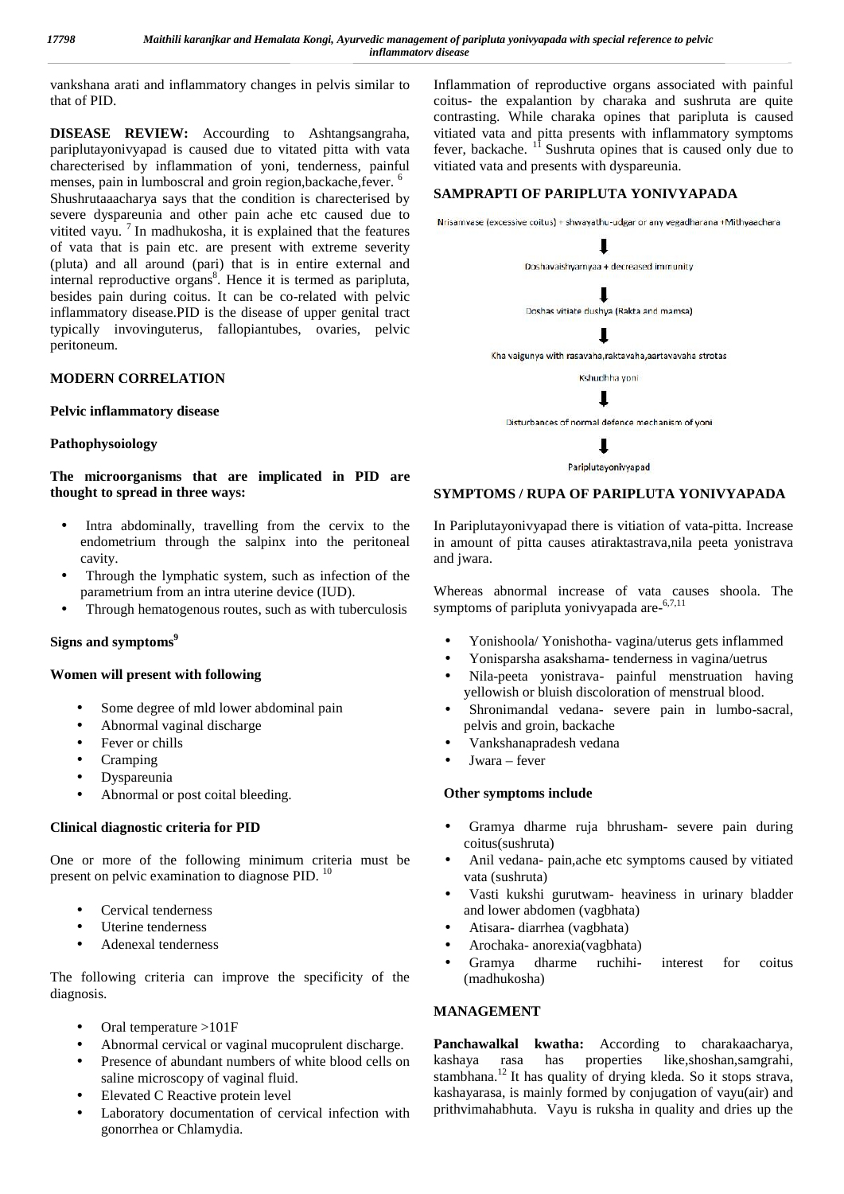vankshana arati and inflammatory changes in pelvis similar to that of PID.

**DISEASE REVIEW:** Accourding to Ashtangsangraha, pariplutayonivyapad is caused due to vitated pitta with vata charecterised by inflammation of yoni, tenderness, painful menses, pain in lumboscral and groin region, backache, fever. <sup>6</sup> Shushrutaaacharya says that the condition is charecterised by severe dyspareunia and other pain ache etc caused due to<br>Nrisamvase (excessive coitus) + shwayathu-udgar or any vegadharana +Mithyaachara vitited vayu. <sup>7</sup> In madhukosha, it is explained that the features of vata that is pain etc. are present with extreme severity (pluta) and all around (pari) that is in entire external and internal reproductive organs<sup>8</sup>. Hence it is termed as paripluta, besides pain during coitus. It can be co-related with pelvic inflammatory disease.PID is the disease of upper genital tract typically invovinguterus, fallopiantubes, ovaries, pelvic peritoneum.

#### **MODERN CORRELATION**

#### **Pelvic inflammatory disease**

#### **Pathophysoiology**

**The microorganisms that are implicated in PID are thought to spread in three ways:**

- Intra abdominally, travelling from the cervix to the endometrium through the salpinx into the peritoneal cavity.
- Through the lymphatic system, such as infection of the parametrium from an intra uterine device (IUD).
- Through hematogenous routes, such as with tuberculosis

#### **Signs and symptoms<sup>9</sup>**

#### **Women will present with following**

- Some degree of mld lower abdominal pain
- Abnormal vaginal discharge
- Fever or chills
- Cramping
- Dyspareunia
- Abnormal or post coital bleeding.

#### **Clinical diagnostic criteria for PID**

One or more of the following minimum criteria must be present on pelvic examination to diagnose PID.<sup>10</sup>

- Cervical tenderness
- Uterine tenderness
- Adenexal tenderness

The following criteria can improve the specificity of the diagnosis.

- Oral temperature >101F
- Abnormal cervical or vaginal mucoprulent discharge.
- Presence of abundant numbers of white blood cells on kashaya saline microscopy of vaginal fluid.
- Elevated C Reactive protein level
- Laboratory documentation of cervical infection with gonorrhea or Chlamydia.

Inflammation of reproductive organs associated with painful coitus- the expalantion by charaka and sushruta are quite contrasting. While charaka opines that paripluta is caused vitiated vata and pitta presents with inflammatory symptoms fever, backache.  $11$  Sushruta opines that is caused only due to vitiated vata and presents with dyspareunia.

#### **SAMPRAPTI OF PARIPLUTA YONIVYAPADA**





ı

Pariplutayonivyapad

#### **SYMPTOMS / RUPA OF PARIPLUTA YONIVYAPADA**

In Pariplutayonivyapad there is vitiation of vata-pitta. Increase in amount of pitta causes atiraktastrava,nila peeta yonistrava and jwara.

Whereas abnormal increase of vata causes shoola. The symptoms of paripluta yonivyapada are-<sup>6,7,11</sup>

- Yonishoola/ Yonishotha- vagina/uterus gets inflammed
- Yonisparsha asakshama- tenderness in vagina/uetrus
- Nila-peeta yonistrava- painful menstruation having yellowish or bluish discoloration of menstrual blood.
- Shronimandal vedana- severe pain in lumbo-sacral, pelvis and groin, backache
- Vankshanapradesh vedana
- Jwara fever

#### **Other symptoms include**

- Gramya dharme ruja bhrusham- severe pain during coitus(sushruta)
- Anil vedana- pain,ache etc symptoms caused by vitiated vata (sushruta)
- Vasti kukshi gurutwam- heaviness in urinary bladder and lower abdomen (vagbhata)
- Atisara- diarrhea (vagbhata)
- Arochaka- anorexia(vagbhata)
- Gramya dharme ruchihi- interest for coitus (madhukosha)

#### **MANAGEMENT**

**Panchawalkal kwatha:** According to charakaacharya, rasa has properties like,shoshan,samgrahi, stambhana.<sup>12</sup> It has quality of drying kleda. So it stops strava, kashayarasa, is mainly formed by conjugation of vayu(air) and prithvimahabhuta. Vayu is ruksha in quality and dries up the